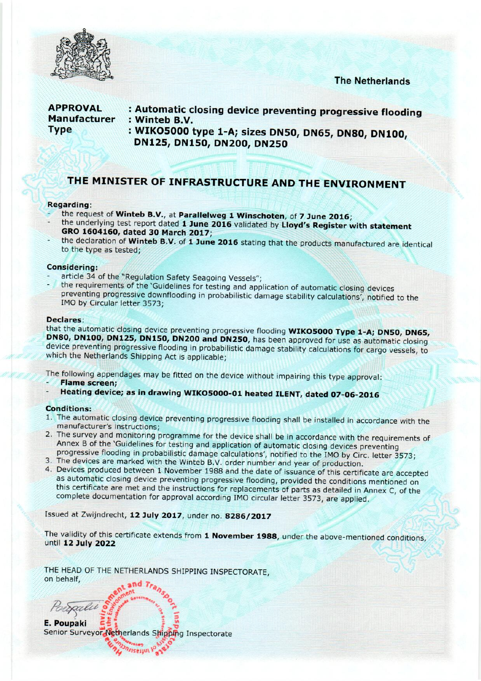

### **The Netherlands**

### **APPROVAL Manufacturer Type**

- : Automatic closing device preventing progressive flooding : Winteb B.V.
- : WIKO5000 type 1-A; sizes DN50, DN65, DN80, DN100, DN125, DN150, DN200, DN250

# THE MINISTER OF INFRASTRUCTURE AND THE ENVIRONMENT

### Regarding:

- the request of Winteb B.V., at Parallelweg 1 Winschoten, of 7 June 2016;
- the underlying test report dated 1 June 2016 validated by Lloyd's Register with statement GRO 1604160, dated 30 March 2017;
- the declaration of Winteb B.V. of 1 June 2016 stating that the products manufactured are identical to the type as tested;

### **Considering:**

- article 34 of the "Regulation Safety Seagoing Vessels";
- the requirements of the 'Guidelines for testing and application of automatic closing devices preventing progressive downflooding in probabilistic damage stability calculations', notified to the IMO by Circular letter 3573;

### **Declares:**

that the automatic closing device preventing progressive flooding WIKO5000 Type 1-A; DN50, DN65, DN80, DN100, DN125, DN150, DN200 and DN250, has been approved for use as automatic closing device preventing progressive flooding in probabilistic damage stability calculations for cargo vessels, to which the Netherlands Shipping Act is applicable;

The following appendages may be fitted on the device without impairing this type approval:

- **Flame screen:**
- Heating device; as in drawing WIKO5000-01 heated ILENT, dated 07-06-2016

### **Conditions:**

- 1. The automatic closing device preventing progressive flooding shall be installed in accordance with the manufacturer's instructions;
- 2. The survey and monitoring programme for the device shall be in accordance with the requirements of Annex B of the 'Guidelines for testing and application of automatic closing devices preventing progressive flooding in probabilistic damage calculations', notified to the IMO by Circ. letter 3573;
- 3. The devices are marked with the Winteb B.V. order number and year of production.
- 4. Devices produced between 1 November 1988 and the date of issuance of this certificate are accepted as automatic closing device preventing progressive flooding, provided the conditions mentioned on this certificate are met and the instructions for replacements of parts as detailed in Annex C, of the complete documentation for approval according IMO circular letter 3573, are applied.

Issued at Zwijndrecht, 12 July 2017, under no. 8286/2017

The validity of this certificate extends from 1 November 1988, under the above-mentioned conditions, until 12 July 2022

THE HEAD OF THE NETHERLANDS SHIPPING INSPECTORATE, on behalf,